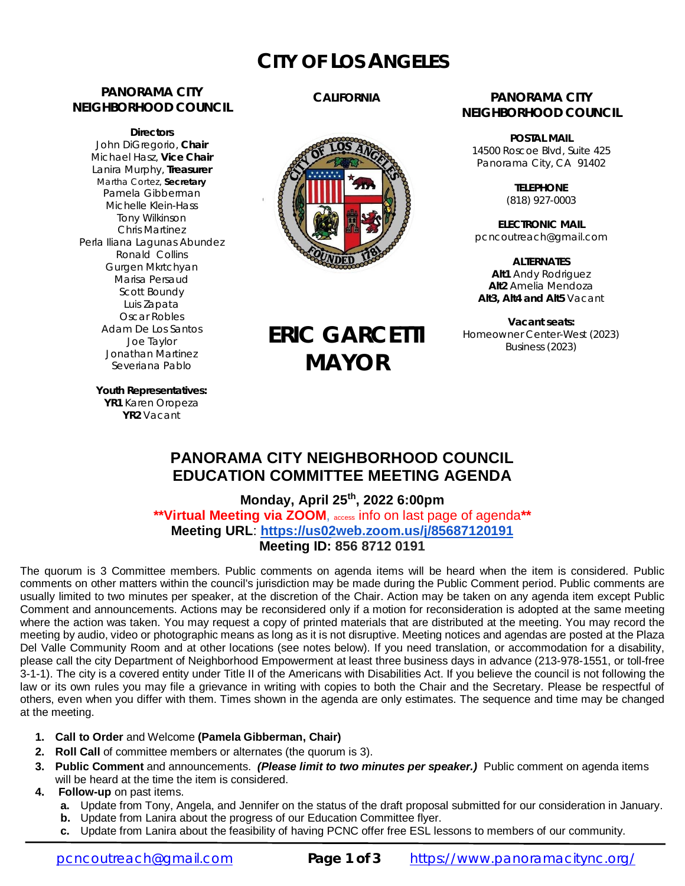# **CITY OF LOS ANGELES**

### **PANORAMA CITY NEIGHBORHOOD COUNCIL**

**Directors** John DiGregorio, **Chair** Michael Hasz, **Vice Chair** Lanira Murphy, **Treasurer** Martha Cortez, **Secretary** Pamela Gibberman Michelle Klein-Hass Tony Wilkinson Chris Martinez Perla Iliana Lagunas Abundez Ronald Collins Gurgen Mkrtchyan Marisa Persaud Scott Boundy Luis Zapata Oscar Robles Adam De Los Santos Joe Taylor Jonathan Martinez Severiana Pablo

### **CALIFORNIA**



**ERIC GARCETTI**

**MAYOR**

### **PANORAMA CITY NEIGHBORHOOD COUNCIL**

**POSTAL MAIL** 14500 Roscoe Blvd, Suite 425 Panorama City, CA 91402

> **TELEPHONE** (818) 927-0003

**ELECTRONIC MAIL** [pcncoutreach@gmail.com](mailto:pcncoutreach@gmail.com)

**ALTERNATES Alt1** Andy Rodriguez **Alt2** Amelia Mendoza **Alt3, Alt4 and Alt5** Vacant

**Vacant seats:** Homeowner Center-West (2023) Business (2023)

**Youth Representatives: YR1** Karen Oropeza **YR2** Vacant

## **PANORAMA CITY NEIGHBORHOOD COUNCIL EDUCATION COMMITTEE MEETING AGENDA**

**Monday, April 25 th, 2022 6:00pm \*\*Virtual Meeting via ZOOM**, access info on last page of agenda**\*\* Meeting URL**: **<https://us02web.zoom.us/j/85687120191> Meeting ID: 856 8712 0191**

The quorum is 3 Committee members. Public comments on agenda items will be heard when the item is considered. Public comments on other matters within the council's jurisdiction may be made during the Public Comment period. Public comments are usually limited to two minutes per speaker, at the discretion of the Chair. Action may be taken on any agenda item except Public Comment and announcements. Actions may be reconsidered only if a motion for reconsideration is adopted at the same meeting where the action was taken. You may request a copy of printed materials that are distributed at the meeting. You may record the meeting by audio, video or photographic means as long as it is not disruptive. Meeting notices and agendas are posted at the Plaza Del Valle Community Room and at other locations (see notes below). If you need translation, or accommodation for a disability, please call the city Department of Neighborhood Empowerment at least three business days in advance (213-978-1551, or toll-free 3-1-1). The city is a covered entity under Title II of the Americans with Disabilities Act. If you believe the council is not following the law or its own rules you may file a grievance in writing with copies to both the Chair and the Secretary. Please be respectful of others, even when you differ with them. Times shown in the agenda are only estimates. The sequence and time may be changed at the meeting.

- **1. Call to Order** and Welcome **(Pamela Gibberman, Chair)**
- **2. Roll Call** of committee members or alternates (the quorum is 3).
- **3. Public Comment** and announcements. *(Please limit to two minutes per speaker.)* Public comment on agenda items will be heard at the time the item is considered.
- **4. Follow-up** on past items.
	- **a.** Update from Tony, Angela, and Jennifer on the status of the draft proposal submitted for our consideration in January.
	- **b.** Update from Lanira about the progress of our Education Committee flyer.
	- **c.** Update from Lanira about the feasibility of having PCNC offer free ESL lessons to members of our community.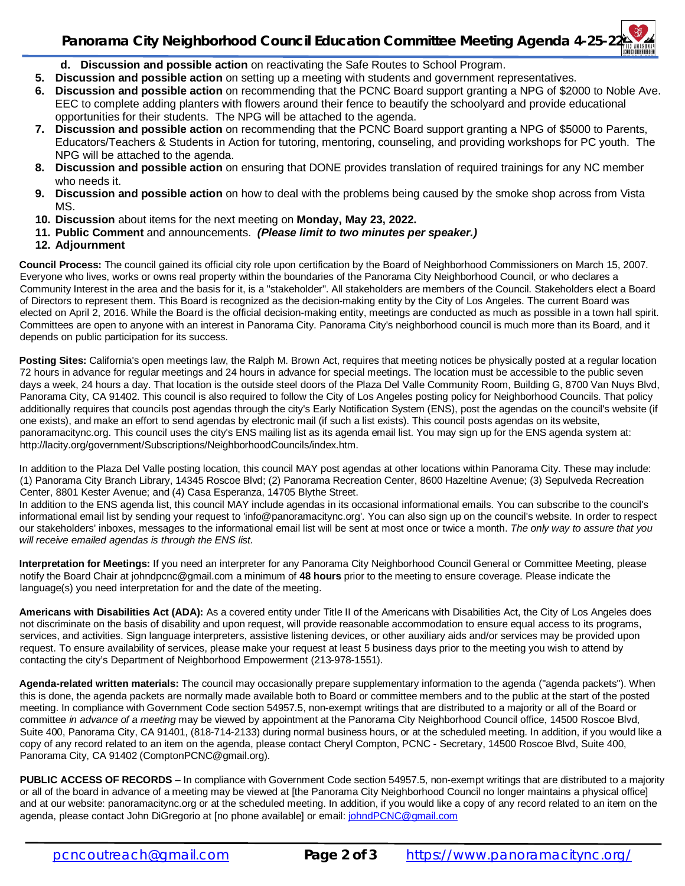# **Panorama City Neighborhood Council Education Committee Meeting Agenda 4-25-22**

- **d. Discussion and possible action** on reactivating the Safe Routes to School Program.
- **5. Discussion and possible action** on setting up a meeting with students and government representatives.
- **6. Discussion and possible action** on recommending that the PCNC Board support granting a NPG of \$2000 to Noble Ave. EEC to complete adding planters with flowers around their fence to beautify the schoolyard and provide educational opportunities for their students. The NPG will be attached to the agenda.
- **7. Discussion and possible action** on recommending that the PCNC Board support granting a NPG of \$5000 to Parents, Educators/Teachers & Students in Action for tutoring, mentoring, counseling, and providing workshops for PC youth. The NPG will be attached to the agenda.
- **8. Discussion and possible action** on ensuring that DONE provides translation of required trainings for any NC member who needs it.
- **9. Discussion and possible action** on how to deal with the problems being caused by the smoke shop across from Vista MS.
- **10. Discussion** about items for the next meeting on **Monday, May 23, 2022.**
- **11. Public Comment** and announcements. *(Please limit to two minutes per speaker.)*
- **12. Adjournment**

**Council Process:** The council gained its official city role upon certification by the Board of Neighborhood Commissioners on March 15, 2007. Everyone who lives, works or owns real property within the boundaries of the Panorama City Neighborhood Council, or who declares a Community Interest in the area and the basis for it, is a "stakeholder". All stakeholders are members of the Council. Stakeholders elect a Board of Directors to represent them. This Board is recognized as the decision-making entity by the City of Los Angeles. The current Board was elected on April 2, 2016. While the Board is the official decision-making entity, meetings are conducted as much as possible in a town hall spirit. Committees are open to anyone with an interest in Panorama City. Panorama City's neighborhood council is much more than its Board, and it depends on public participation for its success.

**Posting Sites:** California's open meetings law, the Ralph M. Brown Act, requires that meeting notices be physically posted at a regular location 72 hours in advance for regular meetings and 24 hours in advance for special meetings. The location must be accessible to the public seven days a week, 24 hours a day. That location is the outside steel doors of the Plaza Del Valle Community Room, Building G, 8700 Van Nuys Blvd, Panorama City, CA 91402. This council is also required to follow the City of Los Angeles posting policy for Neighborhood Councils. That policy additionally requires that councils post agendas through the city's Early Notification System (ENS), post the agendas on the council's website (if one exists), and make an effort to send agendas by electronic mail (if such a list exists). This council posts agendas on its website, panoramacitync.org. This council uses the city's ENS mailing list as its agenda email list. You may sign up for the ENS agenda system at: <http://lacity.org/government/Subscriptions/NeighborhoodCouncils/index.htm.>

In addition to the Plaza Del Valle posting location, this council MAY post agendas at other locations within Panorama City. These may include: (1) Panorama City Branch Library, 14345 Roscoe Blvd; (2) Panorama Recreation Center, 8600 Hazeltine Avenue; (3) Sepulveda Recreation Center, 8801 Kester Avenue; and (4) Casa Esperanza, 14705 Blythe Street.

In addition to the ENS agenda list, this council MAY include agendas in its occasional informational emails. You can subscribe to the council's informational email list by sending your request to ['info@panoramacitync.org'.](mailto:) You can also sign up on the council's website. In order to respect our stakeholders' inboxes, messages to the informational email list will be sent at most once or twice a month. *The only way to assure that you will receive emailed agendas is through the ENS list.* 

**Interpretation for Meetings:** If you need an interpreter for any Panorama City Neighborhood Council General or Committee Meeting, please notify the Board Chair at [johndpcnc@gmail.com](mailto:johndpcnc@gmail.com) a minimum of **48 hours** prior to the meeting to ensure coverage. Please indicate the language(s) you need interpretation for and the date of the meeting.

**Americans with Disabilities Act (ADA):** As a covered entity under Title II of the Americans with Disabilities Act, the City of Los Angeles does not discriminate on the basis of disability and upon request, will provide reasonable accommodation to ensure equal access to its programs, services, and activities. Sign language interpreters, assistive listening devices, or other auxiliary aids and/or services may be provided upon request. To ensure availability of services, please make your request at least 5 business days prior to the meeting you wish to attend by contacting the city's Department of Neighborhood Empowerment (213-978-1551).

**Agenda-related written materials:** The council may occasionally prepare supplementary information to the agenda ("agenda packets"). When this is done, the agenda packets are normally made available both to Board or committee members and to the public at the start of the posted meeting. In compliance with Government Code section 54957.5, non-exempt writings that are distributed to a majority or all of the Board or committee *in advance of a meeting* may be viewed by appointment at the Panorama City Neighborhood Council office, 14500 Roscoe Blvd, Suite 400, Panorama City, CA 91401, (818-714-2133) during normal business hours, or at the scheduled meeting. In addition, if you would like a copy of any record related to an item on the agenda, please contact Cheryl Compton, PCNC - Secretary, 14500 Roscoe Blvd, Suite 400, Panorama City, CA 91402 [\(ComptonPCNC@gmail.org\).](mailto:(ComptonPCNC@gmail.org).) 

**PUBLIC ACCESS OF RECORDS** – In compliance with Government Code section 54957.5, non-exempt writings that are distributed to a majority or all of the board in advance of a meeting may be viewed at [the Panorama City Neighborhood Council no longer maintains a physical office] and at our website: panoramacitync.org or at the scheduled meeting. In addition, if you would like a copy of any record related to an item on the agenda, please contact John DiGregorio at [no phone available] or email: [johndPCNC@gmail.com](mailto:johndPCNC@gmail.com)